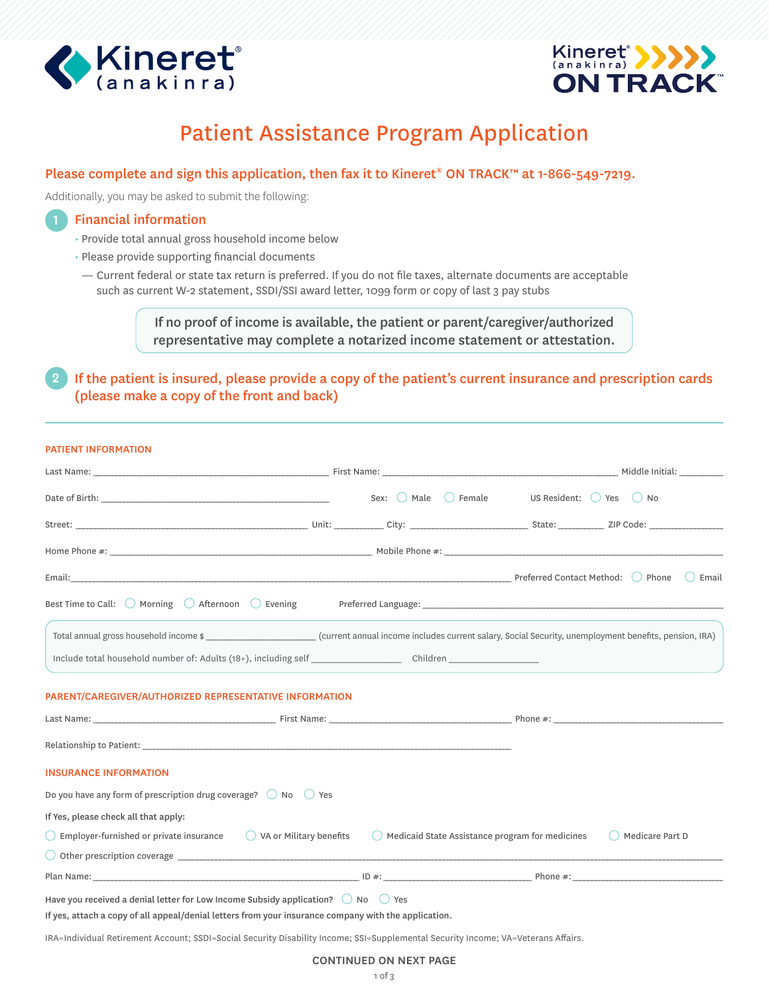



# Patient Assistance Program Application

## Please complete and sign this application, then fax it to Kineret® ON TRACK™ at 1-866-549-7219.

Additionally, you may be asked to submit the following:

## Financial information

- Provide total annual gross household income below
- Please provide supporting financial documents
- Current federal or state tax return is preferred. If you do not file taxes, alternate documents are acceptable such as current W-2 statement, SSDI/SSI award letter, 1099 form or copy of last 3 pay stubs

If no proof of income is available, the patient or parent/caregiver/authorized representative may complete a notarized income statement or attestation.

2 If the patient is insured, please provide a copy of the patient's current insurance and prescription cards (please make a copy of the front and back)

### PATIENT INFORMATION

|                                                                                                                                                                            |  | Sex: Male Female US Resident: Yes O No                     |  |                   |
|----------------------------------------------------------------------------------------------------------------------------------------------------------------------------|--|------------------------------------------------------------|--|-------------------|
|                                                                                                                                                                            |  |                                                            |  |                   |
|                                                                                                                                                                            |  |                                                            |  |                   |
|                                                                                                                                                                            |  |                                                            |  |                   |
| Best Time to Call: $\bigcirc$ Morning $\bigcirc$ Afternoon $\bigcirc$ Evening                                                                                              |  |                                                            |  |                   |
| Total annual gross household income $\frac{1}{2}$ exercise the set of current annual income includes current salary, Social Security, unemployment benefits, pension, IRA) |  |                                                            |  |                   |
|                                                                                                                                                                            |  |                                                            |  |                   |
| PARENT/CAREGIVER/AUTHORIZED REPRESENTATIVE INFORMATION                                                                                                                     |  |                                                            |  |                   |
|                                                                                                                                                                            |  |                                                            |  |                   |
|                                                                                                                                                                            |  |                                                            |  |                   |
| <b>INSURANCE INFORMATION</b>                                                                                                                                               |  |                                                            |  |                   |
| Do you have any form of prescription drug coverage? $\bigcirc$ No $\bigcirc$ Yes                                                                                           |  |                                                            |  |                   |
| If Yes, please check all that apply:                                                                                                                                       |  |                                                            |  |                   |
| $\bigcirc$ Employer-furnished or private insurance $\bigcirc$ VA or Military benefits                                                                                      |  | $\bigcirc$ Medicaid State Assistance program for medicines |  | O Medicare Part D |
|                                                                                                                                                                            |  |                                                            |  |                   |
|                                                                                                                                                                            |  |                                                            |  |                   |
| Have you received a denial letter for Low Income Subsidy application? $\bigcirc$ No $\bigcirc$ Yes                                                                         |  |                                                            |  |                   |
| If yes, attach a copy of all appeal/denial letters from your insurance company with the application.                                                                       |  |                                                            |  |                   |

IRA=Individual Retirement Account; SSDI=Social Security Disability Income; SSI=Supplemental Security Income; VA=Veterans Affairs.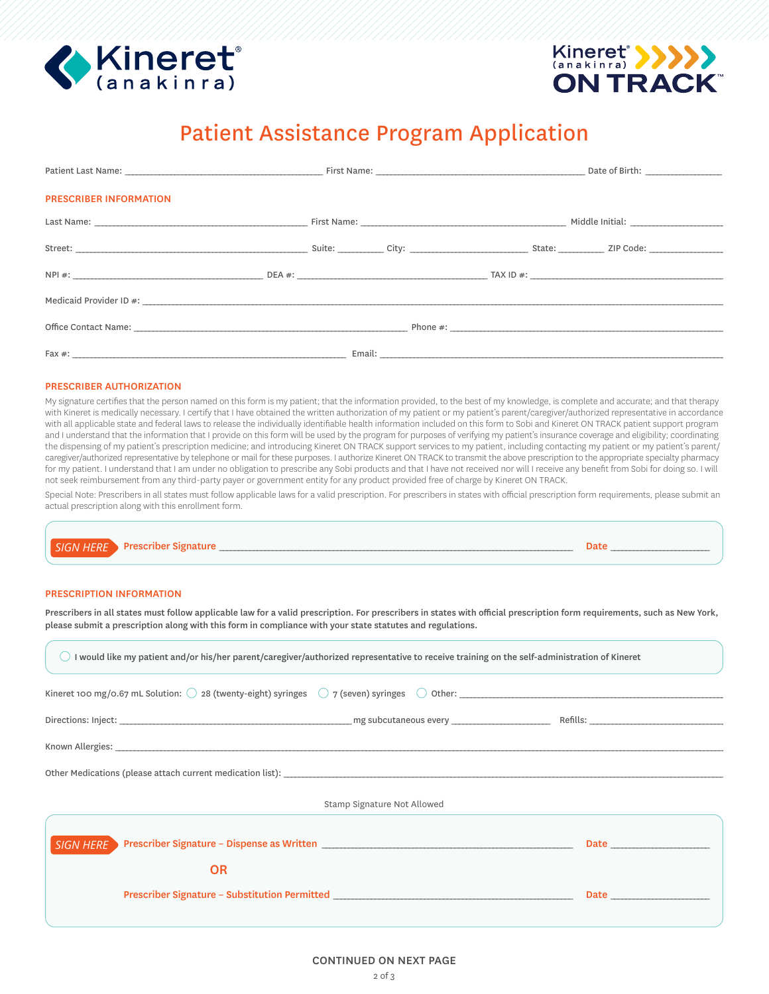



# Patient Assistance Program Application

| <b>PRESCRIBER INFORMATION</b> |  |  |  |
|-------------------------------|--|--|--|
|                               |  |  |  |
|                               |  |  |  |
|                               |  |  |  |
|                               |  |  |  |
|                               |  |  |  |
|                               |  |  |  |

### PRESCRIBER AUTHORIZATION

My signature certifies that the person named on this form is my patient; that the information provided, to the best of my knowledge, is complete and accurate; and that therapy with Kineret is medically necessary. I certify that I have obtained the written authorization of my patient or my patient's parent/caregiver/authorized representative in accordance with all applicable state and federal laws to release the individually identifiable health information included on this form to Sobi and Kineret ON TRACK patient support program and I understand that the information that I provide on this form will be used by the program for purposes of verifying my patient's insurance coverage and eligibility; coordinating the dispensing of my patient's prescription medicine; and introducing Kineret ON TRACK support services to my patient, including contacting my patient or my patient's parent/ caregiver/authorized representative by telephone or mail for these purposes. I authorize Kineret ON TRACK to transmit the above prescription to the appropriate specialty pharmacy for my patient. I understand that I am under no obligation to prescribe any Sobi products and that I have not received nor will I receive any benefit from Sobi for doing so. I will not seek reimbursement from any third-party payer or government entity for any product provided free of charge by Kineret ON TRACK.

Special Note: Prescribers in all states must follow applicable laws for a valid prescription. For prescribers in states with official prescription form requirements, please submit an actual prescription along with this enrollment form.

| SIGN HERE Prescriber |  |  |
|----------------------|--|--|
|                      |  |  |

### PRESCRIPTION INFORMATION

Prescribers in all states must follow applicable law for a valid prescription. For prescribers in states with official prescription form requirements, such as New York, please submit a prescription along with this form in compliance with your state statutes and regulations.

| I would like my patient and/or his/her parent/caregiver/authorized representative to receive training on the self-administration of Kineret |                             |                                                                                                                                                                                                                                          |  |  |
|---------------------------------------------------------------------------------------------------------------------------------------------|-----------------------------|------------------------------------------------------------------------------------------------------------------------------------------------------------------------------------------------------------------------------------------|--|--|
| Kineret 100 mg/0.67 mL Solution: $\bigcirc$ 28 (twenty-eight) syringes $\bigcirc$ 7 (seven) syringes $\bigcirc$ Other:                      |                             |                                                                                                                                                                                                                                          |  |  |
|                                                                                                                                             |                             |                                                                                                                                                                                                                                          |  |  |
|                                                                                                                                             |                             |                                                                                                                                                                                                                                          |  |  |
| Other Medications (please attach current medication list):                                                                                  |                             |                                                                                                                                                                                                                                          |  |  |
|                                                                                                                                             | Stamp Signature Not Allowed |                                                                                                                                                                                                                                          |  |  |
| SIGN HERE                                                                                                                                   |                             |                                                                                                                                                                                                                                          |  |  |
| <b>OR</b>                                                                                                                                   |                             |                                                                                                                                                                                                                                          |  |  |
| Prescriber Signature - Substitution Permitted __________________________________                                                            |                             | <b>Date <i>Continued by Continued by Continued by Continued by Continued by Continued by Continued by Continued by Continued by Continued by Continued by Continued by Continued by Continued by Continued by Continued by Conti</i></b> |  |  |
|                                                                                                                                             |                             |                                                                                                                                                                                                                                          |  |  |